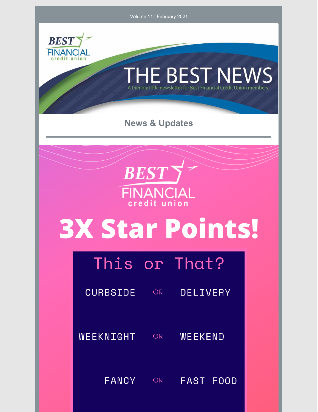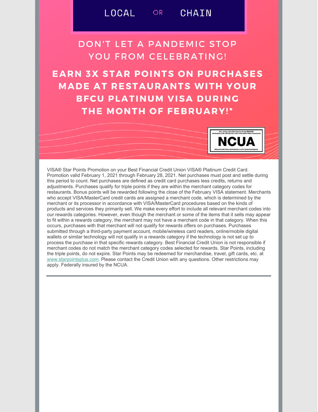## **DON'T LET A PANDEMIC STOP** YOU FROM CELEBRATING!

**EARN 3X STAR POINTS ON PURCHASES MADE AT RESTAURANTS WITH YOUR BFCU PLATINUM VISA DURING** THE MONTH OF FEBRUARY!\*



VISA® Star Points Promotion on your Best Financial Credit Union VISA® Platinum Credit Card. Promotion valid February 1, 2021 through February 28, 2021. Net purchases must post and settle during this period to count. Net purchases are defined as credit card purchases less credits, returns and adjustments. Purchases qualify for triple points if they are within the merchant category codes for restaurants. Bonus points will be rewarded following the close of the February VISA statement. Merchants who accept VISA/MasterCard credit cards are assigned a merchant code, which is determined by the merchant or its processor in accordance with VISA/MasterCard procedures based on the kinds of products and services they primarily sell. We make every effort to include all relevant merchant codes into our rewards categories. However, even though the merchant or some of the items that it sells may appear to fit within a rewards category, the merchant may not have a merchant code in that category. When this occurs, purchases with that merchant will not qualify for rewards offers on purchases. Purchases submitted through a third-party payment account, mobile/wireless card readers, online/mobile digital wallets or similar technology will not qualify in a rewards category if the technology is not set up to process the purchase in that specific rewards category. Best Financial Credit Union is not responsible if merchant codes do not match the merchant category codes selected for rewards. Star Points, including the triple points, do not expire. Star Points may be redeemed for merchandise, travel, gift cards, etc. at www.starpointsplus.com. Please contact the Credit Union with any questions. Other restrictions may apply. Federally insured by the NCUA.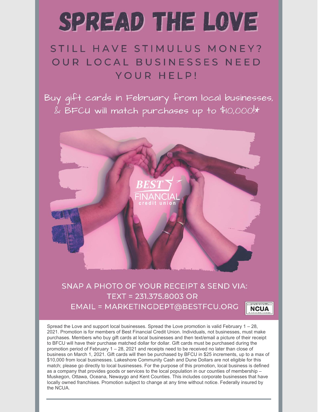# SPREAD THE LOVE

# STILL HAVE STIMULUS MONEY? OUR LOCAL BUSINESSES NEED YOUR HELP!

Buy gift cards in February from local businesses, & BFCU will match purchases up to \$10,000!\*



#### SNAP A PHOTO OF YOUR RECEIPT & SEND VIA: TEXT = 231.375.8003 OR EMAIL = MARKETINGDEPT@BESTFCU.ORG **NCUA**

Spread the Love and support local businesses. Spread the Love promotion is valid February  $1 - 28$ , 2021. Promotion is for members of Best Financial Credit Union. Individuals, not businesses, must make purchases. Members who buy gift cards at local businesses and then text/email a picture of their receipt to BFCU will have their purchase matched dollar for dollar. Gift cards must be purchased during the promotion period of February 1 - 28, 2021 and receipts need to be received no later than close of business on March 1, 2021. Gift cards will then be purchased by BFCU in \$25 increments, up to a max of \$10,000 from local businesses. Lakeshore Community Cash and Dune Dollars are not eligible for this match; please go directly to local businesses. For the purpose of this promotion, local business is defined as a company that provides goods or services to the local population in our counties of membership -Muskegon, Ottawa, Oceana, Newaygo and Kent Counties. This includes corporate businesses that have locally owned franchises. Promotion subject to change at any time without notice. Federally insured by the NCUA.